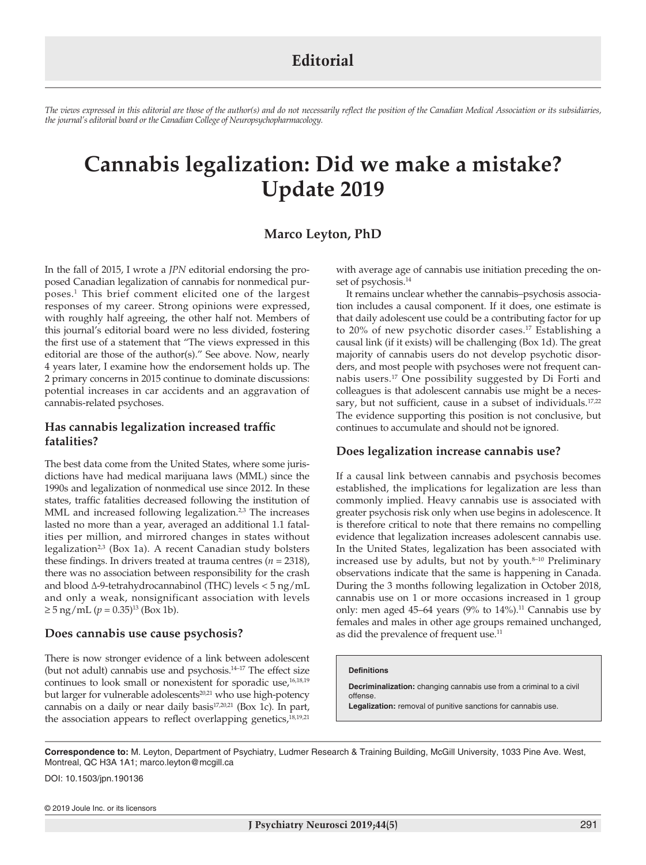*The views expressed in this editorial are those of the author(s) and do not necessarily reflect the position of the Canadian Medical Association or its subsidiaries, the journal's editorial board or the Canadian College of Neuropsychopharmacology.*

# **Cannabis legalization: Did we make a mistake? Update 2019**

# **Marco Leyton, PhD**

In the fall of 2015, I wrote a *JPN* editorial endorsing the proposed Canadian legalization of cannabis for nonmedical purposes.1 This brief comment elicited one of the largest responses of my career. Strong opinions were expressed, with roughly half agreeing, the other half not. Members of this journal's editorial board were no less divided, fostering the first use of a statement that "The views expressed in this editorial are those of the author(s)." See above. Now, nearly 4 years later, I examine how the endorsement holds up. The 2 primary concerns in 2015 continue to dominate discussions: potential increases in car accidents and an aggravation of cannabis-related psychoses.

# **Has cannabis legalization increased traffic fatalities?**

The best data come from the United States, where some jurisdictions have had medical marijuana laws (MML) since the 1990s and legalization of nonmedical use since 2012. In these states, traffic fatalities decreased following the institution of MML and increased following legalization. $2,3$  The increases lasted no more than a year, averaged an additional 1.1 fatalities per million, and mirrored changes in states without legalization<sup>2,3</sup> (Box 1a). A recent Canadian study bolsters these findings. In drivers treated at trauma centres  $(n = 2318)$ , there was no association between responsibility for the crash and blood ∆-9-tetrahydrocannabinol (THC) levels < 5 ng/mL and only a weak, nonsignificant association with levels  $≥ 5$  ng/mL ( $p = 0.35$ )<sup>13</sup> (Box 1b).

## **Does cannabis use cause psychosis?**

There is now stronger evidence of a link between adolescent (but not adult) cannabis use and psychosis.<sup>14-17</sup> The effect size continues to look small or nonexistent for sporadic use,<sup>16,18,19</sup> but larger for vulnerable adolescents<sup>20,21</sup> who use high-potency cannabis on a daily or near daily basis<sup>17,20,21</sup> (Box 1c). In part, the association appears to reflect overlapping genetics,<sup>18,19,21</sup>

with average age of cannabis use initiation preceding the onset of psychosis.<sup>14</sup>

It remains unclear whether the cannabis–psychosis association includes a causal component. If it does, one estimate is that daily adolescent use could be a contributing factor for up to 20% of new psychotic disorder cases.<sup>17</sup> Establishing a causal link (if it exists) will be challenging (Box 1d). The great majority of cannabis users do not develop psychotic disorders, and most people with psychoses were not frequent cannabis users.17 One possibility suggested by Di Forti and colleagues is that adolescent cannabis use might be a necessary, but not sufficient, cause in a subset of individuals.<sup>17,22</sup> The evidence supporting this position is not conclusive, but continues to accumulate and should not be ignored.

## **Does legalization increase cannabis use?**

If a causal link between cannabis and psychosis becomes established, the implications for legalization are less than commonly implied. Heavy cannabis use is associated with greater psychosis risk only when use begins in adolescence. It is therefore critical to note that there remains no compelling evidence that legalization increases adolescent cannabis use. In the United States, legalization has been associated with increased use by adults, but not by youth.<sup>8-10</sup> Preliminary observations indicate that the same is happening in Canada. During the 3 months following legalization in October 2018, cannabis use on 1 or more occasions increased in 1 group only: men aged 45–64 years (9% to  $14\%$ ).<sup>11</sup> Cannabis use by females and males in other age groups remained unchanged, as did the prevalence of frequent use.<sup>11</sup>

#### **Definitions**

**Decriminalization:** changing cannabis use from a criminal to a civil offense. **Legalization:** removal of punitive sanctions for cannabis use.

**Correspondence to:** M. Leyton, Department of Psychiatry, Ludmer Research & Training Building, McGill University, 1033 Pine Ave. West, Montreal, QC H3A 1A1; marco.leyton@mcgill.ca

DOI: 10.1503/jpn.190136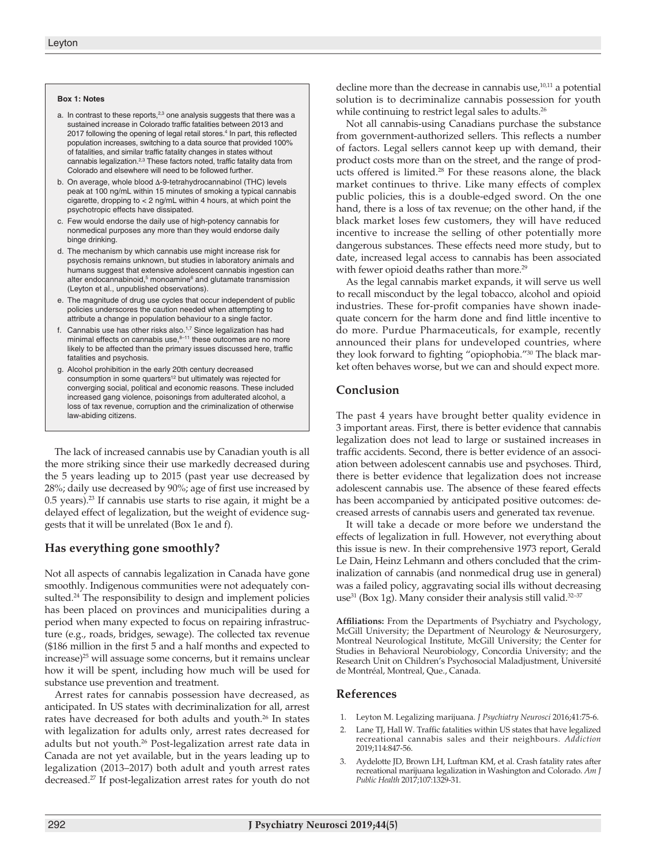#### **Box 1: Notes**

- a. In contrast to these reports, $2,3$  one analysis suggests that there was a sustained increase in Colorado traffic fatalities between 2013 and 2017 following the opening of legal retail stores.<sup>4</sup> In part, this reflected population increases, switching to a data source that provided 100% of fatalities, and similar traffic fatality changes in states without cannabis legalization.2,3 These factors noted, traffic fatality data from Colorado and elsewhere will need to be followed further.
- b. On average, whole blood ∆-9-tetrahydrocannabinol (THC) levels peak at 100 ng/mL within 15 minutes of smoking a typical cannabis cigarette, dropping to < 2 ng/mL within 4 hours, at which point the psychotropic effects have dissipated.
- c. Few would endorse the daily use of high-potency cannabis for nonmedical purposes any more than they would endorse daily binge drinking.
- d. The mechanism by which cannabis use might increase risk for psychosis remains unknown, but studies in laboratory animals and humans suggest that extensive adolescent cannabis ingestion can alter endocannabinoid,<sup>5</sup> monoamine<sup>6</sup> and glutamate transmission (Leyton et al., unpublished observations).
- e. The magnitude of drug use cycles that occur independent of public policies underscores the caution needed when attempting to attribute a change in population behaviour to a single factor.
- f. Cannabis use has other risks also.1,7 Since legalization has had minimal effects on cannabis use, $8-11$  these outcomes are no more likely to be affected than the primary issues discussed here, traffic fatalities and psychosis.
- g. Alcohol prohibition in the early 20th century decreased consumption in some quarters<sup>12</sup> but ultimately was rejected for converging social, political and economic reasons. These included increased gang violence, poisonings from adulterated alcohol, a loss of tax revenue, corruption and the criminalization of otherwise law-abiding citizens.

The lack of increased cannabis use by Canadian youth is all the more striking since their use markedly decreased during the 5 years leading up to 2015 (past year use decreased by 28%; daily use decreased by 90%; age of first use increased by 0.5 years).23 If cannabis use starts to rise again, it might be a delayed effect of legalization, but the weight of evidence suggests that it will be unrelated (Box 1e and f).

# **Has everything gone smoothly?**

Not all aspects of cannabis legalization in Canada have gone smoothly. Indigenous communities were not adequately consulted.<sup>24</sup> The responsibility to design and implement policies has been placed on provinces and municipalities during a period when many expected to focus on repairing infrastructure (e.g., roads, bridges, sewage). The collected tax revenue (\$186 million in the first 5 and a half months and expected to increase)25 will assuage some concerns, but it remains unclear how it will be spent, including how much will be used for substance use prevention and treatment.

Arrest rates for cannabis possession have decreased, as anticipated. In US states with decriminalization for all, arrest rates have decreased for both adults and youth.<sup>26</sup> In states with legalization for adults only, arrest rates decreased for adults but not youth.<sup>26</sup> Post-legalization arrest rate data in Canada are not yet available, but in the years leading up to legalization (2013–2017) both adult and youth arrest rates decreased.27 If post-legalization arrest rates for youth do not

decline more than the decrease in cannabis use, $10,11$  a potential solution is to decriminalize cannabis possession for youth while continuing to restrict legal sales to adults.<sup>26</sup>

Not all cannabis-using Canadians purchase the substance from government-authorized sellers. This reflects a number of factors. Legal sellers cannot keep up with demand, their product costs more than on the street, and the range of products offered is limited.28 For these reasons alone, the black market continues to thrive. Like many effects of complex public policies, this is a double-edged sword. On the one hand, there is a loss of tax revenue; on the other hand, if the black market loses few customers, they will have reduced incentive to increase the selling of other potentially more dangerous substances. These effects need more study, but to date, increased legal access to cannabis has been associated with fewer opioid deaths rather than more.<sup>29</sup>

As the legal cannabis market expands, it will serve us well to recall misconduct by the legal tobacco, alcohol and opioid industries. These for-profit companies have shown inadequate concern for the harm done and find little incentive to do more. Purdue Pharmaceuticals, for example, recently announced their plans for undeveloped countries, where they look forward to fighting "opiophobia."30 The black market often behaves worse, but we can and should expect more.

## **Conclusion**

The past 4 years have brought better quality evidence in 3 important areas. First, there is better evidence that cannabis legalization does not lead to large or sustained increases in traffic accidents. Second, there is better evidence of an association between adolescent cannabis use and psychoses. Third, there is better evidence that legalization does not increase adolescent cannabis use. The absence of these feared effects has been accompanied by anticipated positive outcomes: decreased arrests of cannabis users and generated tax revenue.

It will take a decade or more before we understand the effects of legalization in full. However, not everything about this issue is new. In their comprehensive 1973 report, Gerald Le Dain, Heinz Lehmann and others concluded that the criminalization of cannabis (and nonmedical drug use in general) was a failed policy, aggravating social ills without decreasing use<sup>31</sup> (Box 1g). Many consider their analysis still valid.<sup>32-37</sup>

**Affiliations:** From the Departments of Psychiatry and Psychology, McGill University; the Department of Neurology & Neurosurgery, Montreal Neurological Institute, McGill University; the Center for Studies in Behavioral Neurobiology, Concordia University; and the Research Unit on Children's Psychosocial Maladjustment, Université de Montréal, Montreal, Que., Canada.

## **References**

- 1. Leyton M. Legalizing marijuana. *J Psychiatry Neurosci* 2016;41:75-6.
- 2. Lane TJ, Hall W. Traffic fatalities within US states that have legalized recreational cannabis sales and their neighbours. *Addiction* 2019;114:847-56.
- 3. Aydelotte JD, Brown LH, Luftman KM, et al. Crash fatality rates after recreational marijuana legalization in Washington and Colorado. *Am J Public Health* 2017;107:1329-31.